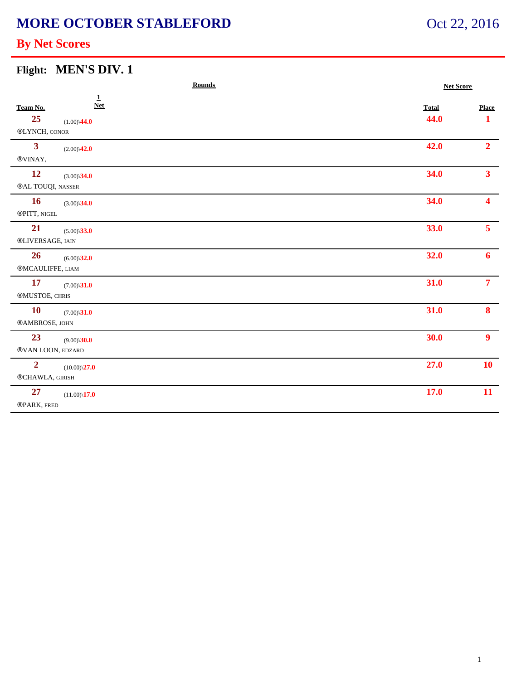# **MORE OCTOBER STABLEFORD**

# Oct 22, 2016

### **By Net Scores**

| Flight: MEN'S DIV. 1 |  |
|----------------------|--|
|----------------------|--|

| <b>Rounds</b>     |                              | <b>Net Score</b> |                |
|-------------------|------------------------------|------------------|----------------|
| Team No.          | $\overline{1}$<br><b>Net</b> | <b>Total</b>     | <b>Place</b>   |
| 25                | $(1.00)\sqrt{44.0}$          | 44.0             | 1              |
| ®LYNCH, CONOR     |                              |                  |                |
| $\mathbf{3}$      | $(2.00)\sqrt{42.0}$          | 42.0             | 2 <sup>1</sup> |
| $@VINAY,$         |                              |                  |                |
| <b>12</b>         | $(3.00)\$ 34.0               | 34.0             | 3 <sup>1</sup> |
| ®AL TOUQI, NASSER |                              |                  |                |
| <b>16</b>         | $(3.00)\sqrt{34.0}$          | 34.0             | 4              |
| ®PITT, NIGEL      |                              |                  |                |
| 21                | $(5.00)\$ 33.0               | 33.0             | 5 <sup>7</sup> |
| ®LIVERSAGE, IAIN  |                              |                  |                |
| 26                | $(6.00)\$ 32.0               | 32.0             | $\mathbf{6}$   |
| ®MCAULIFFE, LIAM  |                              |                  |                |
| <b>17</b>         | $(7.00)\sqrt{31.0}$          | 31.0             | 7 <sup>7</sup> |
| ®MUSTOE, CHRIS    |                              |                  |                |
| <b>10</b>         | $(7.00)\$ 31.0               | 31.0             | 8              |
| ®AMBROSE, JOHN    |                              |                  |                |
| 23                | $(9.00)\$ <b>30.0</b>        | 30.0             | 9 <sup>1</sup> |
| ®VAN LOON, EDZARD |                              |                  |                |
| $\overline{2}$    | $(10.00)\sqrt{27.0}$         | 27.0             | <b>10</b>      |
| ®CHAWLA, GIRISH   |                              |                  |                |
| 27                | $(11.00)\$ <b>17.0</b>       | 17.0             | 11             |
| ®PARK, FRED       |                              |                  |                |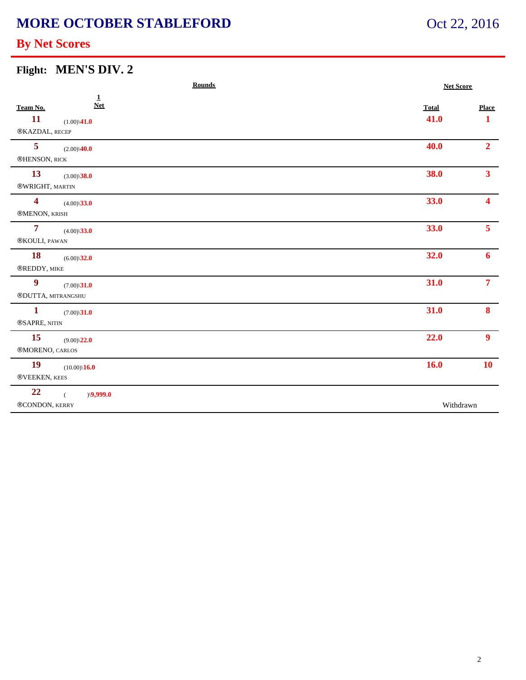# **MORE OCTOBER STABLEFORD**

# Oct 22, 2016

### **By Net Scores**

|  | Flight: MEN'S DIV. 2 |
|--|----------------------|
|--|----------------------|

| <b>Rounds</b>                                  |              | <b>Net Score</b>       |  |
|------------------------------------------------|--------------|------------------------|--|
| $\mathbf{1}$<br><b>Net</b><br>Team No.         | <b>Total</b> | <b>Place</b>           |  |
| <b>11</b><br>$(1.00)\sqrt{41.0}$               | 41.0         | $\mathbf{1}$           |  |
| ®KAZDAL, RECEP                                 |              |                        |  |
| $5\phantom{a}$<br>$(2.00)\sqrt{40.0}$          | 40.0         | 2 <sup>1</sup>         |  |
| ®HENSON, RICK                                  |              |                        |  |
| 13<br>$(3.00)\sqrt{38.0}$                      | 38.0         | $\overline{3}$         |  |
| ®WRIGHT, MARTIN                                |              |                        |  |
| $\overline{\mathbf{4}}$<br>$(4.00)\sqrt{33.0}$ | 33.0         | $\boldsymbol{\Lambda}$ |  |
| ®MENON, KRISH                                  |              |                        |  |
| $\overline{7}$<br>$(4.00)\sqrt{33.0}$          | 33.0         | 5 <sup>1</sup>         |  |
| ®KOULI, PAWAN                                  |              |                        |  |
| <b>18</b><br>$(6.00)\$ 32.0                    | 32.0         | 6                      |  |
| ®REDDY, MIKE                                   |              |                        |  |
| $\boldsymbol{9}$<br>$(7.00)\sqrt{31.0}$        | 31.0         | 7 <sup>7</sup>         |  |
| ®DUTTA, MITRANGSHU                             |              |                        |  |
| $\mathbf{1}$<br>$(7.00)\$ <b>31.0</b>          | 31.0         | 8                      |  |
| ®SAPRE, NITIN                                  |              |                        |  |
| <b>15</b><br>$(9.00)\sqrt{22.0}$               | 22.0         | 9 <sup>1</sup>         |  |
| ®MORENO, CARLOS                                |              |                        |  |
| <b>19</b><br>$(10.00)\$ <b>16.0</b>            | 16.0         | <b>10</b>              |  |
| ®VEEKEN, KEES                                  |              |                        |  |
| 22<br>$)\langle 9,999.0$<br>$\left($           |              |                        |  |
| ®CONDON, KERRY                                 | Withdrawn    |                        |  |